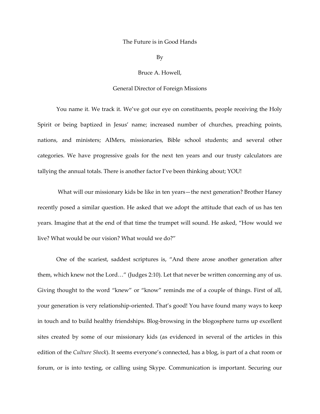## The Future is in Good Hands

By

Bruce A. Howell,

## General Director of Foreign Missions

You name it. We track it. We've got our eye on constituents, people receiving the Holy Spirit or being baptized in Jesus' name; increased number of churches, preaching points, nations, and ministers; AIMers, missionaries, Bible school students; and several other categories. We have progressive goals for the next ten years and our trusty calculators are tallying the annual totals. There is another factor I've been thinking about; YOU!

What will our missionary kids be like in ten years—the next generation? Brother Haney recently posed a similar question. He asked that we adopt the attitude that each of us has ten years. Imagine that at the end of that time the trumpet will sound. He asked, "How would we live? What would be our vision? What would we do?"

One of the scariest, saddest scriptures is, "And there arose another generation after them, which knew not the Lord…" (Judges 2:10). Let that never be written concerning any of us. Giving thought to the word "knew" or "know" reminds me of a couple of things. First of all, your generation is very relationship‐oriented. That's good! You have found many ways to keep in touch and to build healthy friendships. Blog‐browsing in the blogosphere turns up excellent sites created by some of our missionary kids (as evidenced in several of the articles in this edition of the *Culture Shock*). It seems everyone's connected, has a blog, is part of a chat room or forum, or is into texting, or calling using Skype. Communication is important. Securing our